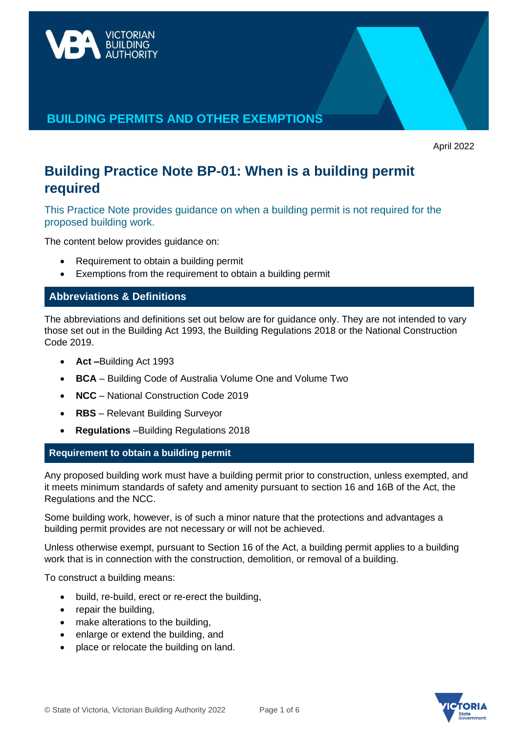

# **BUILDING PERMITS AND OTHER EXEMPTIONS**

April 2022

# **Building Practice Note BP-01: When is a building permit required**

This Practice Note provides guidance on when a building permit is not required for the proposed building work.

The content below provides guidance on:

- Requirement to obtain a building permit
- Exemptions from the requirement to obtain a building permit

# **Abbreviations & Definitions**

The abbreviations and definitions set out below are for guidance only. They are not intended to vary those set out in the Building Act 1993, the Building Regulations 2018 or the National Construction Code 2019.

- **Act –**Building Act 1993
- **BCA** Building Code of Australia Volume One and Volume Two
- **NCC**  National Construction Code 2019
- **RBS** Relevant Building Surveyor
- **Regulations** –Building Regulations 2018

# **Requirement to obtain a building permit**

Any proposed building work must have a building permit prior to construction, unless exempted, and it meets minimum standards of safety and amenity pursuant to section 16 and 16B of the Act, the Regulations and the NCC.

Some building work, however, is of such a minor nature that the protections and advantages a building permit provides are not necessary or will not be achieved.

Unless otherwise exempt, pursuant to Section 16 of the Act, a building permit applies to a building work that is in connection with the construction, demolition, or removal of a building.

To construct a building means:

- build, re-build, erect or re-erect the building,
- repair the building,
- make alterations to the building,
- enlarge or extend the building, and
- place or relocate the building on land.

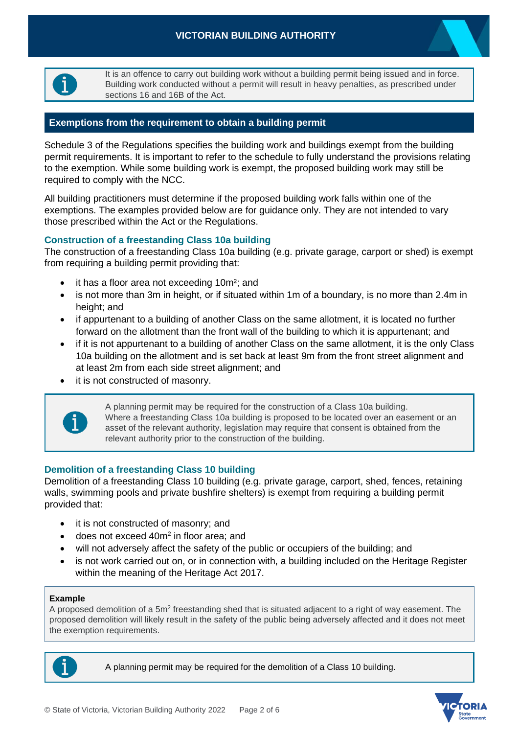

It is an offence to carry out building work without a building permit being issued and in force. Building work conducted without a permit will result in heavy penalties, as prescribed under sections 16 and 16B of the Act.

#### **Exemptions from the requirement to obtain a building permit**

Schedule 3 of the Regulations specifies the building work and buildings exempt from the building permit requirements. It is important to refer to the schedule to fully understand the provisions relating to the exemption. While some building work is exempt, the proposed building work may still be required to comply with the NCC.

All building practitioners must determine if the proposed building work falls within one of the exemptions. The examples provided below are for guidance only. They are not intended to vary those prescribed within the Act or the Regulations.

#### **Construction of a freestanding Class 10a building**

The construction of a freestanding Class 10a building (e.g. private garage, carport or shed) is exempt from requiring a building permit providing that:

- it has a floor area not exceeding 10m²; and
- is not more than 3m in height, or if situated within 1m of a boundary, is no more than 2.4m in height; and
- if appurtenant to a building of another Class on the same allotment, it is located no further forward on the allotment than the front wall of the building to which it is appurtenant; and
- if it is not appurtenant to a building of another Class on the same allotment, it is the only Class 10a building on the allotment and is set back at least 9m from the front street alignment and at least 2m from each side street alignment; and
- it is not constructed of masonry.



A planning permit may be required for the construction of a Class 10a building. Where a freestanding Class 10a building is proposed to be located over an easement or an asset of the relevant authority, legislation may require that consent is obtained from the relevant authority prior to the construction of the building.

#### **Demolition of a freestanding Class 10 building**

Demolition of a freestanding Class 10 building (e.g. private garage, carport, shed, fences, retaining walls, swimming pools and private bushfire shelters) is exempt from requiring a building permit provided that:

- it is not constructed of masonry; and
- does not exceed 40m<sup>2</sup> in floor area; and
- will not adversely affect the safety of the public or occupiers of the building; and
- is not work carried out on, or in connection with, a building included on the Heritage Register within the meaning of the Heritage Act 2017.

#### **Example**

A proposed demolition of a 5m<sup>2</sup> freestanding shed that is situated adjacent to a right of way easement. The proposed demolition will likely result in the safety of the public being adversely affected and it does not meet the exemption requirements.



A planning permit may be required for the demolition of a Class 10 building.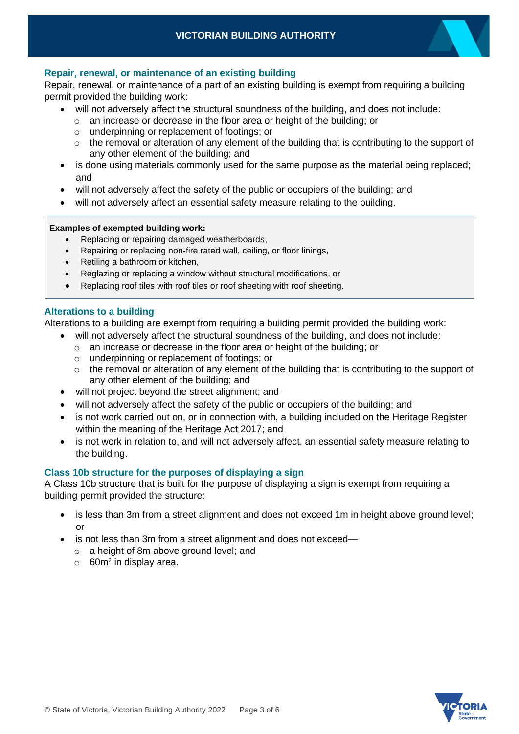

Repair, renewal, or maintenance of a part of an existing building is exempt from requiring a building permit provided the building work:

- will not adversely affect the structural soundness of the building, and does not include:
	- o an increase or decrease in the floor area or height of the building; or
	- o underpinning or replacement of footings; or
	- $\circ$  the removal or alteration of any element of the building that is contributing to the support of any other element of the building; and
- is done using materials commonly used for the same purpose as the material being replaced; and
- will not adversely affect the safety of the public or occupiers of the building; and
- will not adversely affect an essential safety measure relating to the building.

#### **Examples of exempted building work:**

- Replacing or repairing damaged weatherboards,
- Repairing or replacing non-fire rated wall, ceiling, or floor linings,
- Retiling a bathroom or kitchen,
- Reglazing or replacing a window without structural modifications, or
- Replacing roof tiles with roof tiles or roof sheeting with roof sheeting.

#### **Alterations to a building**

Alterations to a building are exempt from requiring a building permit provided the building work:

- will not adversely affect the structural soundness of the building, and does not include:
	- o an increase or decrease in the floor area or height of the building; or
	- o underpinning or replacement of footings; or
	- $\circ$  the removal or alteration of any element of the building that is contributing to the support of any other element of the building; and
- will not project beyond the street alignment; and
- will not adversely affect the safety of the public or occupiers of the building; and
- is not work carried out on, or in connection with, a building included on the Heritage Register within the meaning of the Heritage Act 2017; and
- is not work in relation to, and will not adversely affect, an essential safety measure relating to the building.

#### **Class 10b structure for the purposes of displaying a sign**

A Class 10b structure that is built for the purpose of displaying a sign is exempt from requiring a building permit provided the structure:

- is less than 3m from a street alignment and does not exceed 1m in height above ground level; or
- is not less than 3m from a street alignment and does not exceed
	- o a height of 8m above ground level; and
	- $\circ$  60m<sup>2</sup> in display area.

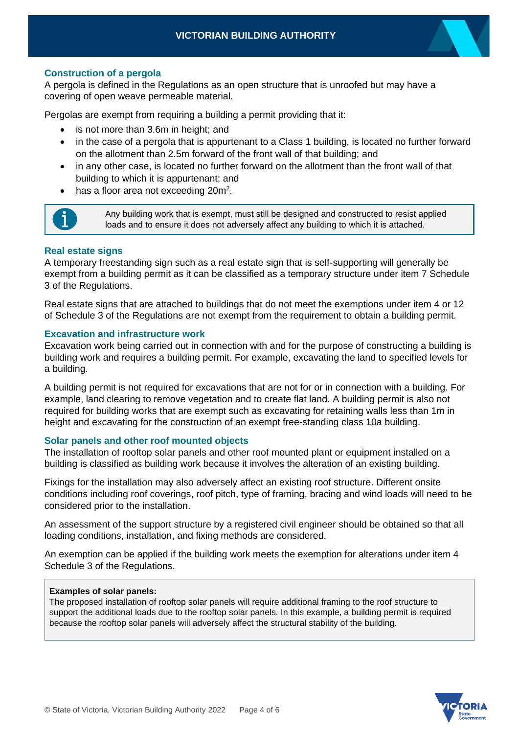#### **Construction of a pergola**

A pergola is defined in the Regulations as an open structure that is unroofed but may have a covering of open weave permeable material.

Pergolas are exempt from requiring a building a permit providing that it:

- is not more than 3.6m in height; and
- in the case of a pergola that is appurtenant to a Class 1 building, is located no further forward on the allotment than 2.5m forward of the front wall of that building; and
- in any other case, is located no further forward on the allotment than the front wall of that building to which it is appurtenant; and
- has a floor area not exceeding 20m<sup>2</sup>.



Any building work that is exempt, must still be designed and constructed to resist applied loads and to ensure it does not adversely affect any building to which it is attached.

#### **Real estate signs**

A temporary freestanding sign such as a real estate sign that is self-supporting will generally be exempt from a building permit as it can be classified as a temporary structure under item 7 Schedule 3 of the Regulations.

Real estate signs that are attached to buildings that do not meet the exemptions under item 4 or 12 of Schedule 3 of the Regulations are not exempt from the requirement to obtain a building permit.

#### **Excavation and infrastructure work**

Excavation work being carried out in connection with and for the purpose of constructing a building is building work and requires a building permit. For example, excavating the land to specified levels for a building.

A building permit is not required for excavations that are not for or in connection with a building. For example, land clearing to remove vegetation and to create flat land. A building permit is also not required for building works that are exempt such as excavating for retaining walls less than 1m in height and excavating for the construction of an exempt free-standing class 10a building.

#### **Solar panels and other roof mounted objects**

The installation of rooftop solar panels and other roof mounted plant or equipment installed on a building is classified as building work because it involves the alteration of an existing building.

Fixings for the installation may also adversely affect an existing roof structure. Different onsite conditions including roof coverings, roof pitch, type of framing, bracing and wind loads will need to be considered prior to the installation.

An assessment of the support structure by a registered civil engineer should be obtained so that all loading conditions, installation, and fixing methods are considered.

An exemption can be applied if the building work meets the exemption for alterations under item 4 Schedule 3 of the Regulations.

#### **Examples of solar panels:**

The proposed installation of rooftop solar panels will require additional framing to the roof structure to support the additional loads due to the rooftop solar panels. In this example, a building permit is required because the rooftop solar panels will adversely affect the structural stability of the building.

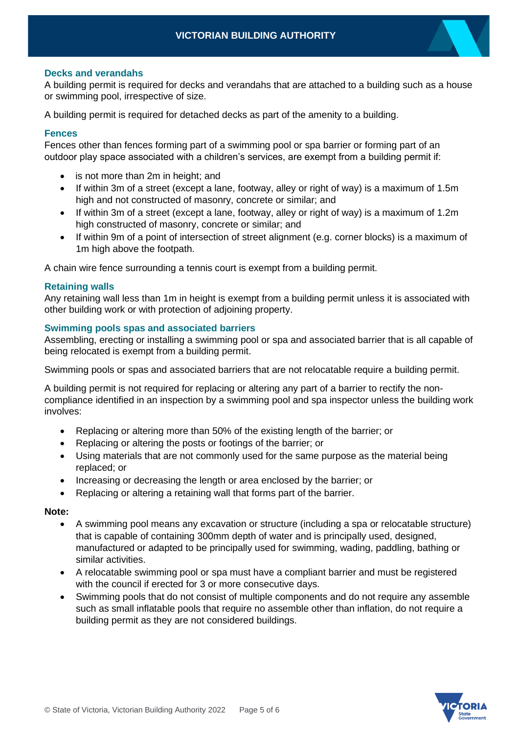#### **Decks and verandahs**

A building permit is required for decks and verandahs that are attached to a building such as a house or swimming pool, irrespective of size.

A building permit is required for detached decks as part of the amenity to a building.

#### **Fences**

Fences other than fences forming part of a swimming pool or spa barrier or forming part of an outdoor play space associated with a children's services, are exempt from a building permit if:

- is not more than 2m in height; and
- If within 3m of a street (except a lane, footway, alley or right of way) is a maximum of 1.5m high and not constructed of masonry, concrete or similar; and
- If within 3m of a street (except a lane, footway, alley or right of way) is a maximum of 1.2m high constructed of masonry, concrete or similar; and
- If within 9m of a point of intersection of street alignment (e.g. corner blocks) is a maximum of 1m high above the footpath.

A chain wire fence surrounding a tennis court is exempt from a building permit.

#### **Retaining walls**

Any retaining wall less than 1m in height is exempt from a building permit unless it is associated with other building work or with protection of adjoining property.

#### **Swimming pools spas and associated barriers**

Assembling, erecting or installing a swimming pool or spa and associated barrier that is all capable of being relocated is exempt from a building permit.

Swimming pools or spas and associated barriers that are not relocatable require a building permit.

A building permit is not required for replacing or altering any part of a barrier to rectify the noncompliance identified in an inspection by a swimming pool and spa inspector unless the building work involves:

- Replacing or altering more than 50% of the existing length of the barrier; or
- Replacing or altering the posts or footings of the barrier; or
- Using materials that are not commonly used for the same purpose as the material being replaced; or
- Increasing or decreasing the length or area enclosed by the barrier; or
- Replacing or altering a retaining wall that forms part of the barrier.

#### **Note:**

- A swimming pool means any excavation or structure (including a spa or relocatable structure) that is capable of containing 300mm depth of water and is principally used, designed, manufactured or adapted to be principally used for swimming, wading, paddling, bathing or similar activities.
- A relocatable swimming pool or spa must have a compliant barrier and must be registered with the council if erected for 3 or more consecutive days.
- Swimming pools that do not consist of multiple components and do not require any assemble such as small inflatable pools that require no assemble other than inflation, do not require a building permit as they are not considered buildings.